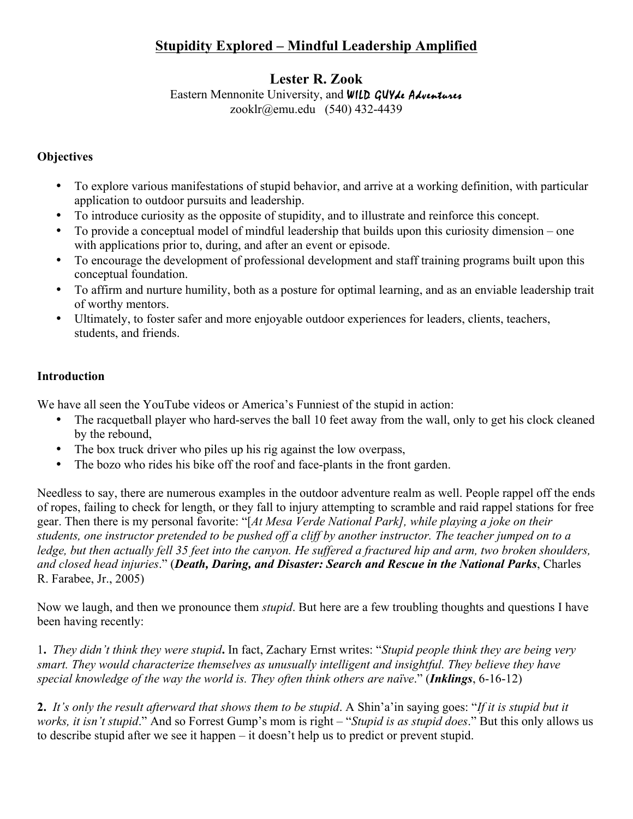# **Stupidity Explored – Mindful Leadership Amplified**

## **Lester R. Zook**

## Eastern Mennonite University, and WILD GUYde Adventures

zooklr@emu.edu (540) 432-4439

## **Objectives**

- To explore various manifestations of stupid behavior, and arrive at a working definition, with particular application to outdoor pursuits and leadership.
- To introduce curiosity as the opposite of stupidity, and to illustrate and reinforce this concept.
- To provide a conceptual model of mindful leadership that builds upon this curiosity dimension one with applications prior to, during, and after an event or episode.
- To encourage the development of professional development and staff training programs built upon this conceptual foundation.
- To affirm and nurture humility, both as a posture for optimal learning, and as an enviable leadership trait of worthy mentors.
- Ultimately, to foster safer and more enjoyable outdoor experiences for leaders, clients, teachers, students, and friends.

## **Introduction**

We have all seen the YouTube videos or America's Funniest of the stupid in action:

- The racquetball player who hard-serves the ball 10 feet away from the wall, only to get his clock cleaned by the rebound,
- The box truck driver who piles up his rig against the low overpass,
- The bozo who rides his bike off the roof and face-plants in the front garden.

Needless to say, there are numerous examples in the outdoor adventure realm as well. People rappel off the ends of ropes, failing to check for length, or they fall to injury attempting to scramble and raid rappel stations for free gear. Then there is my personal favorite: "[*At Mesa Verde National Park], while playing a joke on their students, one instructor pretended to be pushed off a cliff by another instructor. The teacher jumped on to a*  ledge, but then actually fell 35 feet into the canyon. He suffered a fractured hip and arm, two broken shoulders, *and closed head injuries*." (*Death, Daring, and Disaster: Search and Rescue in the National Parks*, Charles R. Farabee, Jr., 2005)

Now we laugh, and then we pronounce them *stupid*. But here are a few troubling thoughts and questions I have been having recently:

1**.** *They didn't think they were stupid***.** In fact, Zachary Ernst writes: "*Stupid people think they are being very smart. They would characterize themselves as unusually intelligent and insightful. They believe they have special knowledge of the way the world is. They often think others are naïve*." (*Inklings*, 6-16-12)

**2.** *It's only the result afterward that shows them to be stupid*. A Shin'a'in saying goes: "*If it is stupid but it works, it isn't stupid*." And so Forrest Gump's mom is right – "*Stupid is as stupid does*." But this only allows us to describe stupid after we see it happen – it doesn't help us to predict or prevent stupid.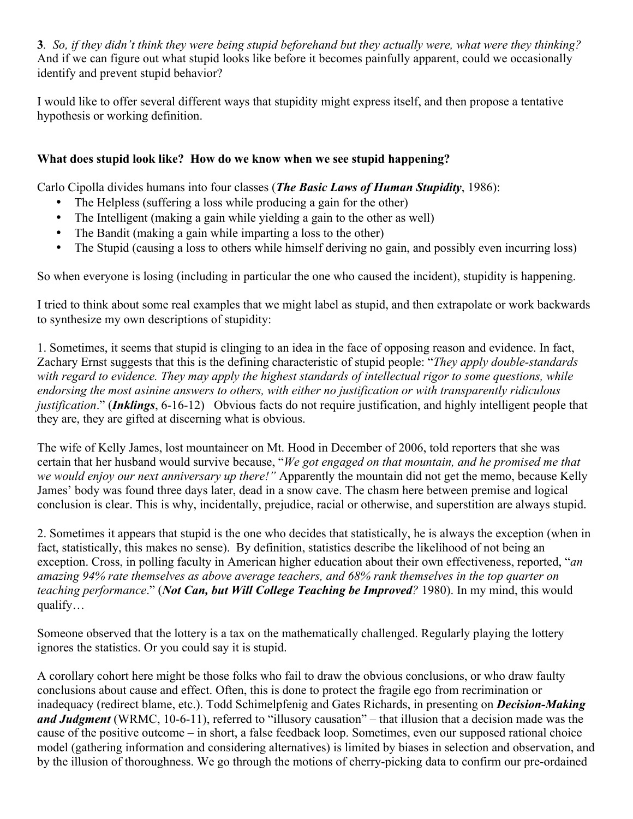**3***. So, if they didn't think they were being stupid beforehand but they actually were, what were they thinking?* And if we can figure out what stupid looks like before it becomes painfully apparent, could we occasionally identify and prevent stupid behavior?

I would like to offer several different ways that stupidity might express itself, and then propose a tentative hypothesis or working definition.

## **What does stupid look like? How do we know when we see stupid happening?**

Carlo Cipolla divides humans into four classes (*The Basic Laws of Human Stupidity*, 1986):

- The Helpless (suffering a loss while producing a gain for the other)
- The Intelligent (making a gain while yielding a gain to the other as well)
- The Bandit (making a gain while imparting a loss to the other)
- The Stupid (causing a loss to others while himself deriving no gain, and possibly even incurring loss)

So when everyone is losing (including in particular the one who caused the incident), stupidity is happening.

I tried to think about some real examples that we might label as stupid, and then extrapolate or work backwards to synthesize my own descriptions of stupidity:

1. Sometimes, it seems that stupid is clinging to an idea in the face of opposing reason and evidence. In fact, Zachary Ernst suggests that this is the defining characteristic of stupid people: "*They apply double-standards with regard to evidence. They may apply the highest standards of intellectual rigor to some questions, while endorsing the most asinine answers to others, with either no justification or with transparently ridiculous justification*." (*Inklings*, 6-16-12) Obvious facts do not require justification, and highly intelligent people that they are, they are gifted at discerning what is obvious.

The wife of Kelly James, lost mountaineer on Mt. Hood in December of 2006, told reporters that she was certain that her husband would survive because, "*We got engaged on that mountain, and he promised me that we would enjoy our next anniversary up there!"* Apparently the mountain did not get the memo, because Kelly James' body was found three days later, dead in a snow cave. The chasm here between premise and logical conclusion is clear. This is why, incidentally, prejudice, racial or otherwise, and superstition are always stupid.

2. Sometimes it appears that stupid is the one who decides that statistically, he is always the exception (when in fact, statistically, this makes no sense). By definition, statistics describe the likelihood of not being an exception. Cross, in polling faculty in American higher education about their own effectiveness, reported, "*an amazing 94% rate themselves as above average teachers, and 68% rank themselves in the top quarter on teaching performance*." (*Not Can, but Will College Teaching be Improved?* 1980). In my mind, this would qualify…

Someone observed that the lottery is a tax on the mathematically challenged. Regularly playing the lottery ignores the statistics. Or you could say it is stupid.

A corollary cohort here might be those folks who fail to draw the obvious conclusions, or who draw faulty conclusions about cause and effect. Often, this is done to protect the fragile ego from recrimination or inadequacy (redirect blame, etc.). Todd Schimelpfenig and Gates Richards, in presenting on *Decision-Making and Judgment* (WRMC, 10-6-11), referred to "illusory causation" – that illusion that a decision made was the cause of the positive outcome – in short, a false feedback loop. Sometimes, even our supposed rational choice model (gathering information and considering alternatives) is limited by biases in selection and observation, and by the illusion of thoroughness. We go through the motions of cherry-picking data to confirm our pre-ordained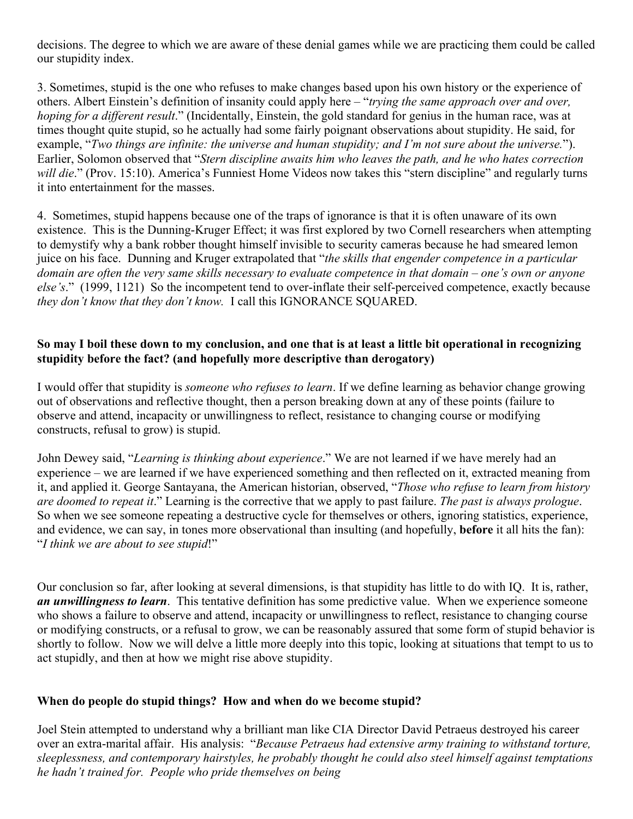decisions. The degree to which we are aware of these denial games while we are practicing them could be called our stupidity index.

3. Sometimes, stupid is the one who refuses to make changes based upon his own history or the experience of others. Albert Einstein's definition of insanity could apply here – "*trying the same approach over and over, hoping for a different result*." (Incidentally, Einstein, the gold standard for genius in the human race, was at times thought quite stupid, so he actually had some fairly poignant observations about stupidity. He said, for example, "*Two things are infinite: the universe and human stupidity; and I'm not sure about the universe.*"). Earlier, Solomon observed that "*Stern discipline awaits him who leaves the path, and he who hates correction will die.*" (Prov. 15:10). America's Funniest Home Videos now takes this "stern discipline" and regularly turns it into entertainment for the masses.

4. Sometimes, stupid happens because one of the traps of ignorance is that it is often unaware of its own existence. This is the Dunning-Kruger Effect; it was first explored by two Cornell researchers when attempting to demystify why a bank robber thought himself invisible to security cameras because he had smeared lemon juice on his face. Dunning and Kruger extrapolated that "*the skills that engender competence in a particular domain are often the very same skills necessary to evaluate competence in that domain – one's own or anyone else's*." (1999, 1121) So the incompetent tend to over-inflate their self-perceived competence, exactly because *they don't know that they don't know.* I call this IGNORANCE SQUARED.

#### **So may I boil these down to my conclusion, and one that is at least a little bit operational in recognizing stupidity before the fact? (and hopefully more descriptive than derogatory)**

I would offer that stupidity is *someone who refuses to learn*. If we define learning as behavior change growing out of observations and reflective thought, then a person breaking down at any of these points (failure to observe and attend, incapacity or unwillingness to reflect, resistance to changing course or modifying constructs, refusal to grow) is stupid.

John Dewey said, "*Learning is thinking about experience*." We are not learned if we have merely had an experience – we are learned if we have experienced something and then reflected on it, extracted meaning from it, and applied it. George Santayana, the American historian, observed, "*Those who refuse to learn from history are doomed to repeat it*." Learning is the corrective that we apply to past failure. *The past is always prologue*. So when we see someone repeating a destructive cycle for themselves or others, ignoring statistics, experience, and evidence, we can say, in tones more observational than insulting (and hopefully, **before** it all hits the fan): "*I think we are about to see stupid*!"

Our conclusion so far, after looking at several dimensions, is that stupidity has little to do with IQ. It is, rather, *an unwillingness to learn*. This tentative definition has some predictive value. When we experience someone who shows a failure to observe and attend, incapacity or unwillingness to reflect, resistance to changing course or modifying constructs, or a refusal to grow, we can be reasonably assured that some form of stupid behavior is shortly to follow. Now we will delve a little more deeply into this topic, looking at situations that tempt to us to act stupidly, and then at how we might rise above stupidity.

#### **When do people do stupid things? How and when do we become stupid?**

Joel Stein attempted to understand why a brilliant man like CIA Director David Petraeus destroyed his career over an extra-marital affair. His analysis: "*Because Petraeus had extensive army training to withstand torture, sleeplessness, and contemporary hairstyles, he probably thought he could also steel himself against temptations he hadn't trained for. People who pride themselves on being*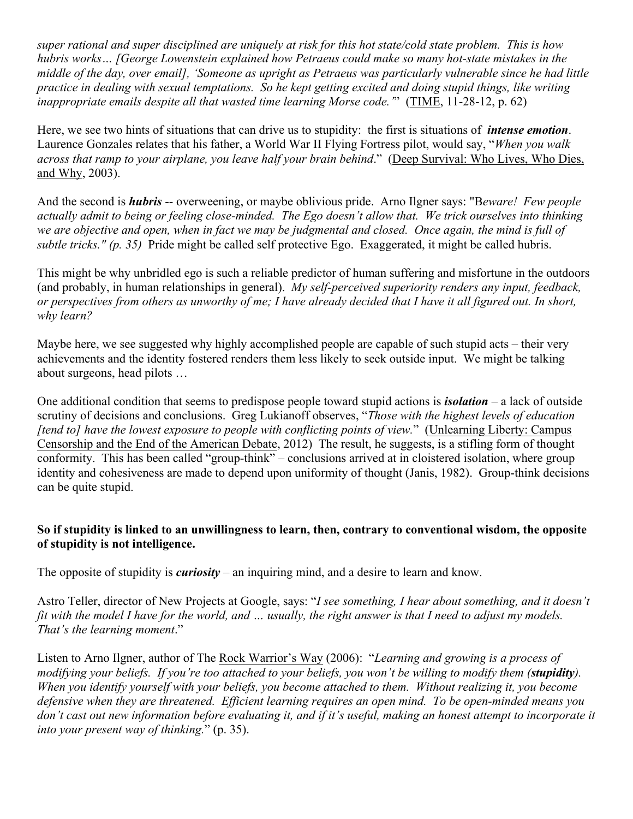*super rational and super disciplined are uniquely at risk for this hot state/cold state problem. This is how hubris works… [George Lowenstein explained how Petraeus could make so many hot-state mistakes in the middle of the day, over email], 'Someone as upright as Petraeus was particularly vulnerable since he had little practice in dealing with sexual temptations. So he kept getting excited and doing stupid things, like writing inappropriate emails despite all that wasted time learning Morse code.'*" (TIME, 11-28-12, p. 62)

Here, we see two hints of situations that can drive us to stupidity: the first is situations of *intense emotion*. Laurence Gonzales relates that his father, a World War II Flying Fortress pilot, would say, "*When you walk across that ramp to your airplane, you leave half your brain behind*." (Deep Survival: Who Lives, Who Dies, and Why, 2003).

And the second is *hubris* -- overweening, or maybe oblivious pride. Arno Ilgner says: "B*eware! Few people actually admit to being or feeling close-minded. The Ego doesn't allow that. We trick ourselves into thinking we are objective and open, when in fact we may be judgmental and closed. Once again, the mind is full of subtle tricks." (p. 35)* Pride might be called self protective Ego. Exaggerated, it might be called hubris.

This might be why unbridled ego is such a reliable predictor of human suffering and misfortune in the outdoors (and probably, in human relationships in general). *My self-perceived superiority renders any input, feedback, or perspectives from others as unworthy of me; I have already decided that I have it all figured out. In short, why learn?*

Maybe here, we see suggested why highly accomplished people are capable of such stupid acts – their very achievements and the identity fostered renders them less likely to seek outside input. We might be talking about surgeons, head pilots …

One additional condition that seems to predispose people toward stupid actions is *isolation* – a lack of outside scrutiny of decisions and conclusions. Greg Lukianoff observes, "*Those with the highest levels of education [tend to] have the lowest exposure to people with conflicting points of view.*" (Unlearning Liberty: Campus Censorship and the End of the American Debate, 2012) The result, he suggests, is a stifling form of thought conformity. This has been called "group-think" – conclusions arrived at in cloistered isolation, where group identity and cohesiveness are made to depend upon uniformity of thought (Janis, 1982). Group-think decisions can be quite stupid.

#### **So if stupidity is linked to an unwillingness to learn, then, contrary to conventional wisdom, the opposite of stupidity is not intelligence.**

The opposite of stupidity is *curiosity* – an inquiring mind, and a desire to learn and know.

Astro Teller, director of New Projects at Google, says: "*I see something, I hear about something, and it doesn't fit with the model I have for the world, and … usually, the right answer is that I need to adjust my models. That's the learning moment*."

Listen to Arno Ilgner, author of The Rock Warrior's Way (2006): "*Learning and growing is a process of modifying your beliefs. If you're too attached to your beliefs, you won't be willing to modify them (stupidity). When you identify yourself with your beliefs, you become attached to them. Without realizing it, you become defensive when they are threatened. Efficient learning requires an open mind. To be open-minded means you don't cast out new information before evaluating it, and if it's useful, making an honest attempt to incorporate it into your present way of thinking.*" (p. 35).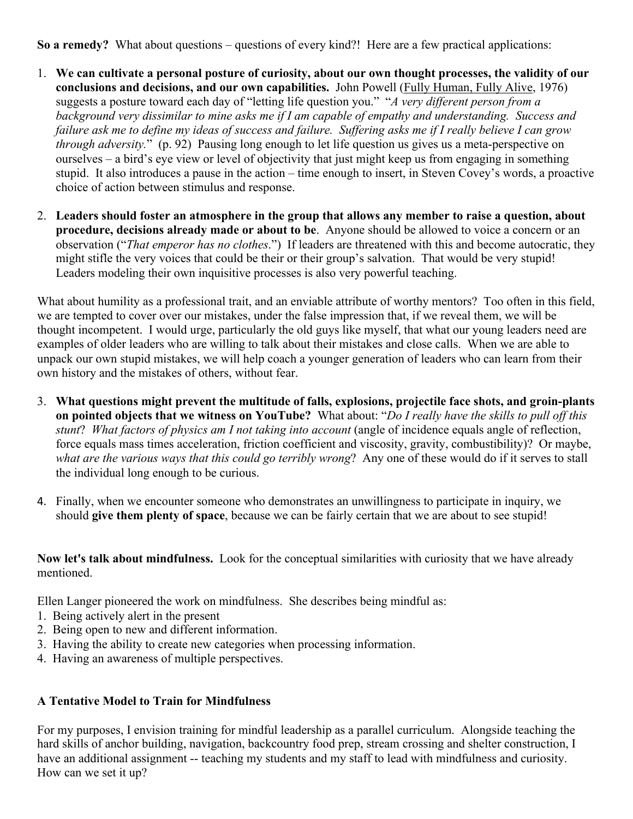**So a remedy?** What about questions – questions of every kind?! Here are a few practical applications:

- 1. **We can cultivate a personal posture of curiosity, about our own thought processes, the validity of our conclusions and decisions, and our own capabilities.** John Powell (Fully Human, Fully Alive, 1976) suggests a posture toward each day of "letting life question you." "*A very different person from a background very dissimilar to mine asks me if I am capable of empathy and understanding. Success and failure ask me to define my ideas of success and failure. Suffering asks me if I really believe I can grow through adversity.*" (p. 92) Pausing long enough to let life question us gives us a meta-perspective on ourselves – a bird's eye view or level of objectivity that just might keep us from engaging in something stupid. It also introduces a pause in the action – time enough to insert, in Steven Covey's words, a proactive choice of action between stimulus and response.
- 2. **Leaders should foster an atmosphere in the group that allows any member to raise a question, about procedure, decisions already made or about to be**. Anyone should be allowed to voice a concern or an observation ("*That emperor has no clothes*.") If leaders are threatened with this and become autocratic, they might stifle the very voices that could be their or their group's salvation. That would be very stupid! Leaders modeling their own inquisitive processes is also very powerful teaching.

What about humility as a professional trait, and an enviable attribute of worthy mentors? Too often in this field, we are tempted to cover over our mistakes, under the false impression that, if we reveal them, we will be thought incompetent. I would urge, particularly the old guys like myself, that what our young leaders need are examples of older leaders who are willing to talk about their mistakes and close calls. When we are able to unpack our own stupid mistakes, we will help coach a younger generation of leaders who can learn from their own history and the mistakes of others, without fear.

- 3. **What questions might prevent the multitude of falls, explosions, projectile face shots, and groin-plants on pointed objects that we witness on YouTube?** What about: "*Do I really have the skills to pull off this stunt*? *What factors of physics am I not taking into account* (angle of incidence equals angle of reflection, force equals mass times acceleration, friction coefficient and viscosity, gravity, combustibility)? Or maybe, *what are the various ways that this could go terribly wrong*? Any one of these would do if it serves to stall the individual long enough to be curious.
- 4. Finally, when we encounter someone who demonstrates an unwillingness to participate in inquiry, we should **give them plenty of space**, because we can be fairly certain that we are about to see stupid!

**Now let's talk about mindfulness.** Look for the conceptual similarities with curiosity that we have already mentioned.

Ellen Langer pioneered the work on mindfulness. She describes being mindful as:

- 1. Being actively alert in the present
- 2. Being open to new and different information.
- 3. Having the ability to create new categories when processing information.
- 4. Having an awareness of multiple perspectives.

## **A Tentative Model to Train for Mindfulness**

For my purposes, I envision training for mindful leadership as a parallel curriculum. Alongside teaching the hard skills of anchor building, navigation, backcountry food prep, stream crossing and shelter construction, I have an additional assignment -- teaching my students and my staff to lead with mindfulness and curiosity. How can we set it up?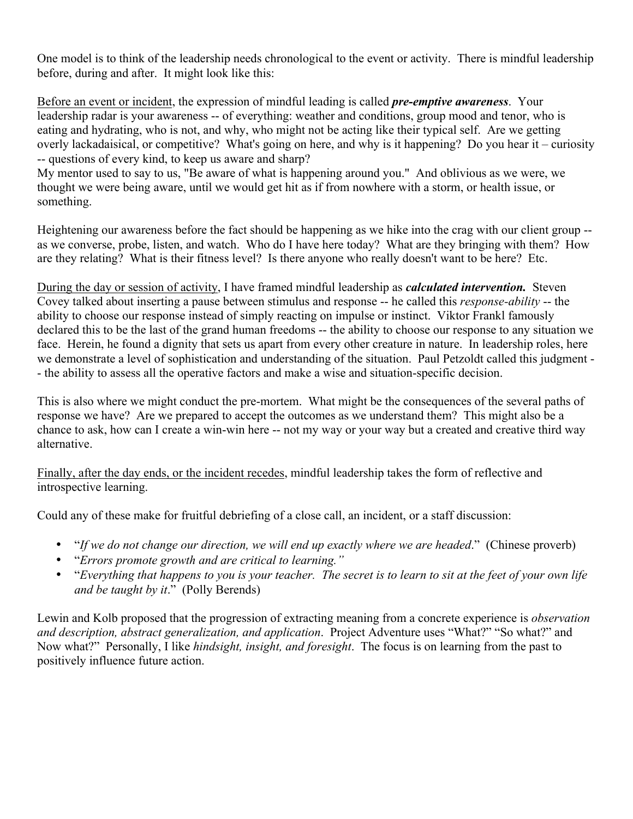One model is to think of the leadership needs chronological to the event or activity. There is mindful leadership before, during and after. It might look like this:

Before an event or incident, the expression of mindful leading is called *pre-emptive awareness*. Your leadership radar is your awareness -- of everything: weather and conditions, group mood and tenor, who is eating and hydrating, who is not, and why, who might not be acting like their typical self. Are we getting overly lackadaisical, or competitive? What's going on here, and why is it happening? Do you hear it – curiosity -- questions of every kind, to keep us aware and sharp?

My mentor used to say to us, "Be aware of what is happening around you." And oblivious as we were, we thought we were being aware, until we would get hit as if from nowhere with a storm, or health issue, or something.

Heightening our awareness before the fact should be happening as we hike into the crag with our client group - as we converse, probe, listen, and watch. Who do I have here today? What are they bringing with them? How are they relating? What is their fitness level? Is there anyone who really doesn't want to be here? Etc.

During the day or session of activity, I have framed mindful leadership as *calculated intervention.* Steven Covey talked about inserting a pause between stimulus and response -- he called this *response-ability* -- the ability to choose our response instead of simply reacting on impulse or instinct. Viktor Frankl famously declared this to be the last of the grand human freedoms -- the ability to choose our response to any situation we face. Herein, he found a dignity that sets us apart from every other creature in nature. In leadership roles, here we demonstrate a level of sophistication and understanding of the situation. Paul Petzoldt called this judgment - - the ability to assess all the operative factors and make a wise and situation-specific decision.

This is also where we might conduct the pre-mortem. What might be the consequences of the several paths of response we have? Are we prepared to accept the outcomes as we understand them? This might also be a chance to ask, how can I create a win-win here -- not my way or your way but a created and creative third way alternative.

Finally, after the day ends, or the incident recedes, mindful leadership takes the form of reflective and introspective learning.

Could any of these make for fruitful debriefing of a close call, an incident, or a staff discussion:

- "*If we do not change our direction, we will end up exactly where we are headed*." (Chinese proverb)
- "*Errors promote growth and are critical to learning."*
- "*Everything that happens to you is your teacher. The secret is to learn to sit at the feet of your own life and be taught by it*." (Polly Berends)

Lewin and Kolb proposed that the progression of extracting meaning from a concrete experience is *observation and description, abstract generalization, and application*. Project Adventure uses "What?" "So what?" and Now what?" Personally, I like *hindsight, insight, and foresight*. The focus is on learning from the past to positively influence future action.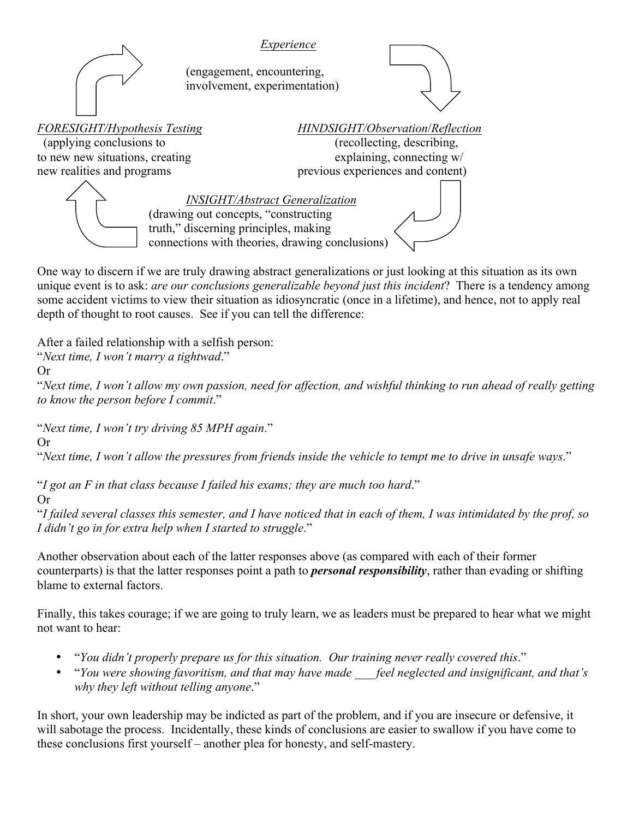

One way to discern if we are truly drawing abstract generalizations or just looking at this situation as its own unique event is to ask: *are our conclusions generalizable beyond just this incident*? There is a tendency among some accident victims to view their situation as idiosyncratic (once in a lifetime), and hence, not to apply real depth of thought to root causes. See if you can tell the difference:

After a failed relationship with a selfish person:

"*Next time, I won't marry a tightwad*."

Or

"*Next time, I won't allow my own passion, need for affection, and wishful thinking to run ahead of really getting to know the person before I commit*."

"*Next time, I won't try driving 85 MPH again*."

Or

"*Next time, I won't allow the pressures from friends inside the vehicle to tempt me to drive in unsafe ways*."

"*I got an F in that class because I failed his exams; they are much too hard*." Or

"*I failed several classes this semester, and I have noticed that in each of them, I was intimidated by the prof, so I didn't go in for extra help when I started to struggle*."

Another observation about each of the latter responses above (as compared with each of their former counterparts) is that the latter responses point a path to *personal responsibility*, rather than evading or shifting blame to external factors.

Finally, this takes courage; if we are going to truly learn, we as leaders must be prepared to hear what we might not want to hear:

- "*You didn't properly prepare us for this situation. Our training never really covered this*."
- "*You were showing favoritism, and that may have made \_\_\_ feel neglected and insignificant, and that's why they left without telling anyone*."

In short, your own leadership may be indicted as part of the problem, and if you are insecure or defensive, it will sabotage the process. Incidentally, these kinds of conclusions are easier to swallow if you have come to these conclusions first yourself – another plea for honesty, and self-mastery.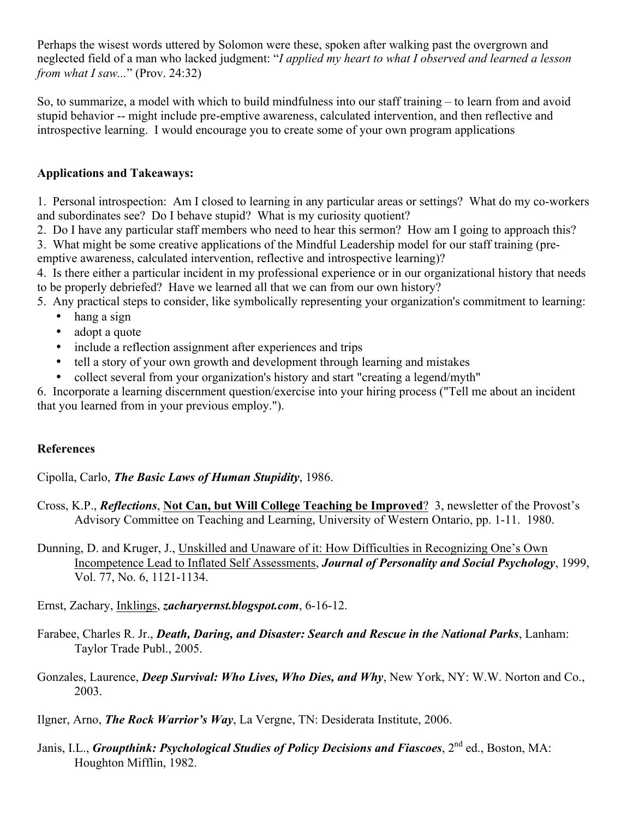Perhaps the wisest words uttered by Solomon were these, spoken after walking past the overgrown and neglected field of a man who lacked judgment: "*I applied my heart to what I observed and learned a lesson from what I saw...*" (Prov. 24:32)

So, to summarize, a model with which to build mindfulness into our staff training – to learn from and avoid stupid behavior -- might include pre-emptive awareness, calculated intervention, and then reflective and introspective learning. I would encourage you to create some of your own program applications

#### **Applications and Takeaways:**

1. Personal introspection: Am I closed to learning in any particular areas or settings? What do my co-workers and subordinates see? Do I behave stupid? What is my curiosity quotient?

2. Do I have any particular staff members who need to hear this sermon? How am I going to approach this?

3. What might be some creative applications of the Mindful Leadership model for our staff training (preemptive awareness, calculated intervention, reflective and introspective learning)?

4. Is there either a particular incident in my professional experience or in our organizational history that needs to be properly debriefed? Have we learned all that we can from our own history?

5. Any practical steps to consider, like symbolically representing your organization's commitment to learning:

- hang a sign
- adopt a quote
- include a reflection assignment after experiences and trips
- tell a story of your own growth and development through learning and mistakes
- collect several from your organization's history and start "creating a legend/myth"

6. Incorporate a learning discernment question/exercise into your hiring process ("Tell me about an incident that you learned from in your previous employ.").

## **References**

Cipolla, Carlo, *The Basic Laws of Human Stupidity*, 1986.

- Cross, K.P., *Reflections*, **Not Can, but Will College Teaching be Improved**? 3, newsletter of the Provost's Advisory Committee on Teaching and Learning, University of Western Ontario, pp. 1-11. 1980.
- Dunning, D. and Kruger, J., Unskilled and Unaware of it: How Difficulties in Recognizing One's Own Incompetence Lead to Inflated Self Assessments, *Journal of Personality and Social Psychology*, 1999, Vol. 77, No. 6, 1121-1134.
- Ernst, Zachary, Inklings, *zacharyernst.blogspot.com*, 6-16-12.
- Farabee, Charles R. Jr., *Death, Daring, and Disaster: Search and Rescue in the National Parks*, Lanham: Taylor Trade Publ., 2005.
- Gonzales, Laurence, *Deep Survival: Who Lives, Who Dies, and Why*, New York, NY: W.W. Norton and Co., 2003.
- Ilgner, Arno, *The Rock Warrior's Way*, La Vergne, TN: Desiderata Institute, 2006.
- Janis, I.L., *Groupthink: Psychological Studies of Policy Decisions and Fiascoes*, 2<sup>nd</sup> ed., Boston, MA: Houghton Mifflin, 1982.